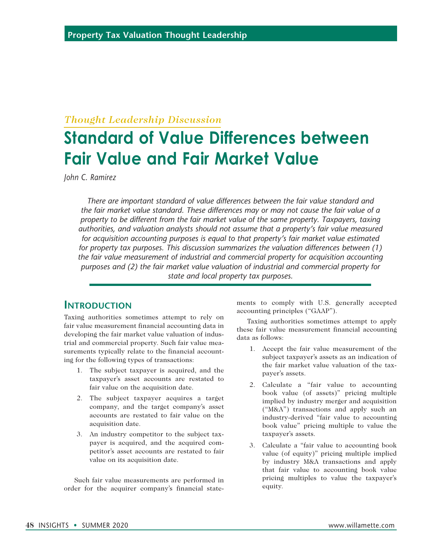#### *Thought Leadership Discussion*

# **Standard of Value Differences between Fair Value and Fair Market Value**

*John C. Ramirez*

*There are important standard of value differences between the fair value standard and the fair market value standard. These differences may or may not cause the fair value of a property to be different from the fair market value of the same property. Taxpayers, taxing authorities, and valuation analysts should not assume that a property's fair value measured for acquisition accounting purposes is equal to that property's fair market value estimated for property tax purposes. This discussion summarizes the valuation differences between (1) the fair value measurement of industrial and commercial property for acquisition accounting purposes and (2) the fair market value valuation of industrial and commercial property for state and local property tax purposes.*

#### **Introduction**

Taxing authorities sometimes attempt to rely on fair value measurement financial accounting data in developing the fair market value valuation of industrial and commercial property. Such fair value measurements typically relate to the financial accounting for the following types of transactions:

- 1. The subject taxpayer is acquired, and the taxpayer's asset accounts are restated to fair value on the acquisition date.
- 2. The subject taxpayer acquires a target company, and the target company's asset accounts are restated to fair value on the acquisition date.
- 3. An industry competitor to the subject taxpayer is acquired, and the acquired competitor's asset accounts are restated to fair value on its acquisition date.

Such fair value measurements are performed in order for the acquirer company's financial state-

ments to comply with U.S. generally accepted accounting principles ("GAAP").

Taxing authorities sometimes attempt to apply these fair value measurement financial accounting data as follows:

- 1. Accept the fair value measurement of the subject taxpayer's assets as an indication of the fair market value valuation of the taxpayer's assets.
- 2. Calculate a "fair value to accounting book value (of assets)" pricing multiple implied by industry merger and acquisition ("M&A") transactions and apply such an industry-derived "fair value to accounting book value" pricing multiple to value the taxpayer's assets.
- 3. Calculate a "fair value to accounting book value (of equity)" pricing multiple implied by industry M&A transactions and apply that fair value to accounting book value pricing multiples to value the taxpayer's equity.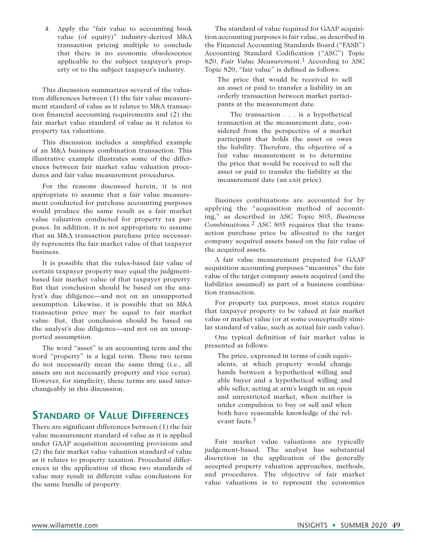4. Apply the "fair value to accounting book value (of equity)" industry-derived M&A transaction pricing multiple to conclude that there is no economic obsolescence applicable to the subject taxpayer's property or to the subject taxpayer's industry.

This discussion summarizes several of the valuation differences between (1) the fair value measurement standard of value as it relates to M&A transaction financial accounting requirements and (2) the fair market value standard of value as it relates to property tax valuations.

This discussion includes a simplified example of an M&A business combination transaction. This illustrative example illustrates some of the differences between fair market value valuation procedures and fair value measurement procedures.

For the reasons discussed herein, it is not appropriate to assume that a fair value measurement conducted for purchase accounting purposes would produce the same result as a fair market value valuation conducted for property tax purposes. In addition, it is not appropriate to assume that an M&A transaction purchase price necessarily represents the fair market value of that taxpayer business.

It is possible that the rules-based fair value of certain taxpayer property may equal the judgmentbased fair market value of that taxpayer property. But that conclusion should be based on the analyst's due diligence—and not on an unsupported assumption. Likewise, it is possible that an M&A transaction price may be equal to fair market value. But, that conclusion should be based on the analyst's due diligence—and not on an unsupported assumption.

The word "asset" is an accounting term and the word "property" is a legal term. These two terms do not necessarily mean the same thing (i.e., all assets are not necessarily property and vice versa). However, for simplicity, these terms are used interchangeably in this discussion.

#### **Standard of Value Differences**

There are significant differences between (1) the fair value measurement standard of value as it is applied under GAAP acquisition accounting provisions and (2) the fair market value valuation standard of value as it relates to property taxation. Procedural differences in the application of these two standards of value may result in different value conclusions for the same bundle of property.

The standard of value required for GAAP acquisition accounting purposes is fair value, as described in the Financial Accounting Standards Board ("FASB") Accounting Standard Codification ("ASC") Topic 820, *Fair Value Measurement*.1 According to ASC Topic 820, "fair value" is defined as follows:

The price that would be received to sell an asset or paid to transfer a liability in an orderly transaction between market participants at the measurement date.

The transaction . . . is a hypothetical transaction at the measurement date, considered from the perspective of a market participant that holds the asset or owes the liability. Therefore, the objective of a fair value measurement is to determine the price that would be received to sell the asset or paid to transfer the liability at the measurement date (an exit price).

Business combinations are accounted for by applying the "acquisition method of accounting," as described in ASC Topic 805, *Business Combinations*.2 ASC 805 requires that the transaction purchase price be allocated to the target company acquired assets based on the fair value of the acquired assets.

A fair value measurement prepared for GAAP acquisition accounting purposes "measures" the fair value of the target company assets acquired (and the liabilities assumed) as part of a business combination transaction.

For property tax purposes, most states require that taxpayer property to be valued at fair market value or market value (or at some conceptually similar standard of value, such as actual fair cash value).

One typical definition of fair market value is presented as follows:

The price, expressed in terms of cash equivalents, at which property would change hands between a hypothetical willing and able buyer and a hypothetical willing and able seller, acting at arm's length in an open and unrestricted market, when neither is under compulsion to buy or sell and when both have reasonable knowledge of the relevant facts.3

Fair market value valuations are typically judgement-based. The analyst has substantial discretion in the application of the generally accepted property valuation approaches, methods, and procedures. The objective of fair market value valuations is to represent the economics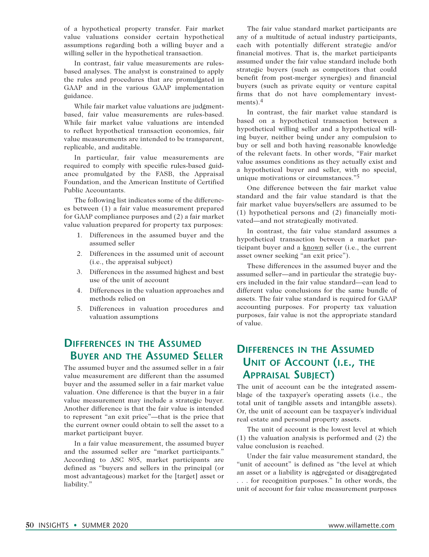of a hypothetical property transfer. Fair market value valuations consider certain hypothetical assumptions regarding both a willing buyer and a willing seller in the hypothetical transaction.

In contrast, fair value measurements are rulesbased analyses. The analyst is constrained to apply the rules and procedures that are promulgated in GAAP and in the various GAAP implementation guidance.

While fair market value valuations are judgmentbased, fair value measurements are rules-based. While fair market value valuations are intended to reflect hypothetical transaction economics, fair value measurements are intended to be transparent, replicable, and auditable.

In particular, fair value measurements are required to comply with specific rules-based guidance promulgated by the FASB, the Appraisal Foundation, and the American Institute of Certified Public Accountants.

The following list indicates some of the differences between (1) a fair value measurement prepared for GAAP compliance purposes and (2) a fair market value valuation prepared for property tax purposes:

- 1. Differences in the assumed buyer and the assumed seller
- 2. Differences in the assumed unit of account (i.e., the appraisal subject)
- 3. Differences in the assumed highest and best use of the unit of account
- 4. Differences in the valuation approaches and methods relied on
- 5. Differences in valuation procedures and valuation assumptions

## **Differences in the Assumed Buyer and the Assumed Seller**

The assumed buyer and the assumed seller in a fair value measurement are different than the assumed buyer and the assumed seller in a fair market value valuation. One difference is that the buyer in a fair value measurement may include a strategic buyer. Another difference is that the fair value is intended to represent "an exit price"—that is the price that the current owner could obtain to sell the asset to a market participant buyer.

In a fair value measurement, the assumed buyer and the assumed seller are "market participants." According to ASC 805, market participants are defined as "buyers and sellers in the principal (or most advantageous) market for the [target] asset or liability."

The fair value standard market participants are any of a multitude of actual industry participants, each with potentially different strategic and/or financial motives. That is, the market participants assumed under the fair value standard include both strategic buyers (such as competitors that could benefit from post-merger synergies) and financial buyers (such as private equity or venture capital firms that do not have complementary investments). $4$ 

In contrast, the fair market value standard is based on a hypothetical transaction between a hypothetical willing seller and a hypothetical willing buyer, neither being under any compulsion to buy or sell and both having reasonable knowledge of the relevant facts. In other words, "Fair market value assumes conditions as they actually exist and a hypothetical buyer and seller, with no special, unique motivations or circumstances."<sup>5</sup>

One difference between the fair market value standard and the fair value standard is that the fair market value buyers/sellers are assumed to be (1) hypothetical persons and (2) financially motivated—and not strategically motivated.

In contrast, the fair value standard assumes a hypothetical transaction between a market participant buyer and a known seller (i.e., the current asset owner seeking "an exit price").

These differences in the assumed buyer and the assumed seller—and in particular the strategic buyers included in the fair value standard—can lead to different value conclusions for the same bundle of assets. The fair value standard is required for GAAP accounting purposes. For property tax valuation purposes, fair value is not the appropriate standard of value.

## **Differences in the Assumed Unit of Account (i.e., the Appraisal Subject)**

The unit of account can be the integrated assemblage of the taxpayer's operating assets (i.e., the total unit of tangible assets and intangible assets). Or, the unit of account can be taxpayer's individual real estate and personal property assets.

The unit of account is the lowest level at which (1) the valuation analysis is performed and (2) the value conclusion is reached.

Under the fair value measurement standard, the "unit of account" is defined as "the level at which an asset or a liability is aggregated or disaggregated . . . for recognition purposes." In other words, the unit of account for fair value measurement purposes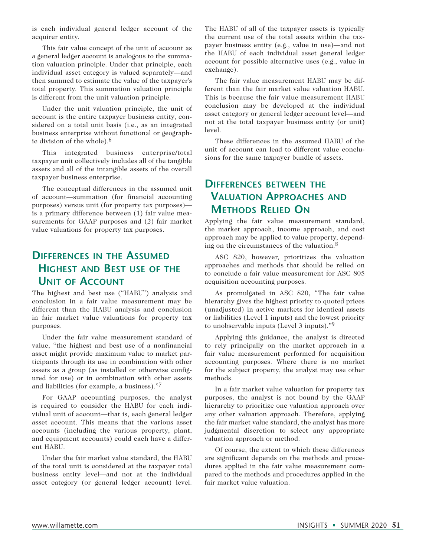is each individual general ledger account of the acquirer entity.

This fair value concept of the unit of account as a general ledger account is analogous to the summation valuation principle. Under that principle, each individual asset category is valued separately—and then summed to estimate the value of the taxpayer's total property. This summation valuation principle is different from the unit valuation principle.

Under the unit valuation principle, the unit of account is the entire taxpayer business entity, considered on a total unit basis (i.e., as an integrated business enterprise without functional or geographic division of the whole).6

This integrated business enterprise/total taxpayer unit collectively includes all of the tangible assets and all of the intangible assets of the overall taxpayer business enterprise.

The conceptual differences in the assumed unit of account—summation (for financial accounting purposes) versus unit (for property tax purposes) is a primary difference between (1) fair value measurements for GAAP purposes and (2) fair market value valuations for property tax purposes.

## **Differences in the Assumed Highest and Best use of the Unit of Account**

The highest and best use ("HABU") analysis and conclusion in a fair value measurement may be different than the HABU analysis and conclusion in fair market value valuations for property tax purposes.

Under the fair value measurement standard of value, "the highest and best use of a nonfinancial asset might provide maximum value to market participants through its use in combination with other assets as a group (as installed or otherwise configured for use) or in combination with other assets and liabilities (for example, a business)."7

For GAAP accounting purposes, the analyst is required to consider the HABU for each individual unit of account—that is, each general ledger asset account. This means that the various asset accounts (including the various property, plant, and equipment accounts) could each have a different HABU.

Under the fair market value standard, the HABU of the total unit is considered at the taxpayer total business entity level—and not at the individual asset category (or general ledger account) level.

The HABU of all of the taxpayer assets is typically the current use of the total assets within the taxpayer business entity (e.g., value in use)—and not the HABU of each individual asset general ledger account for possible alternative uses (e.g., value in exchange).

The fair value measurement HABU may be different than the fair market value valuation HABU. This is because the fair value measurement HABU conclusion may be developed at the individual asset category or general ledger account level—and not at the total taxpayer business entity (or unit) level.

These differences in the assumed HABU of the unit of account can lead to different value conclusions for the same taxpayer bundle of assets.

#### **Differences between the Valuation Approaches and Methods Relied On**

Applying the fair value measurement standard, the market approach, income approach, and cost approach may be applied to value property, depending on the circumstances of the valuation.8

ASC 820, however, prioritizes the valuation approaches and methods that should be relied on to conclude a fair value measurement for ASC 805 acquisition accounting purposes.

As promulgated in ASC 820, "The fair value hierarchy gives the highest priority to quoted prices (unadjusted) in active markets for identical assets or liabilities (Level 1 inputs) and the lowest priority to unobservable inputs (Level 3 inputs)."9

Applying this guidance, the analyst is directed to rely principally on the market approach in a fair value measurement performed for acquisition accounting purposes. Where there is no market for the subject property, the analyst may use other methods.

In a fair market value valuation for property tax purposes, the analyst is not bound by the GAAP hierarchy to prioritize one valuation approach over any other valuation approach. Therefore, applying the fair market value standard, the analyst has more judgmental discretion to select any appropriate valuation approach or method.

Of course, the extent to which these differences are significant depends on the methods and procedures applied in the fair value measurement compared to the methods and procedures applied in the fair market value valuation.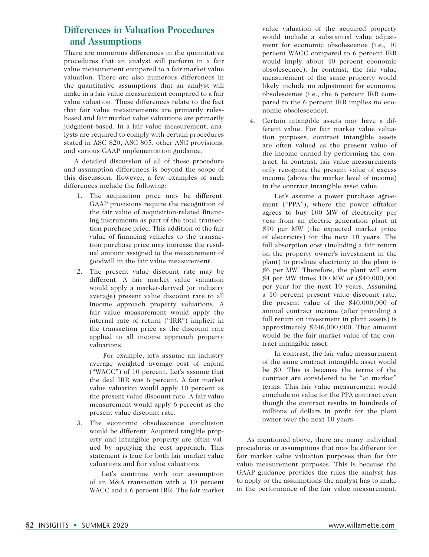#### **Differences in Valuation Procedures and Assumptions**

There are numerous differences in the quantitative procedures that an analyst will perform in a fair value measurement compared to a fair market value valuation. There are also numerous differences in the quantitative assumptions that an analyst will make in a fair value measurement compared to a fair value valuation. These differences relate to the fact that fair value measurements are primarily rulesbased and fair market value valuations are primarily judgment-based. In a fair value measurement, analysts are required to comply with certain procedures stated in ASC 820, ASC 805, other ASC provisions, and various GAAP implementation guidance.

A detailed discussion of all of these procedure and assumption differences is beyond the scope of this discussion. However, a few examples of such differences include the following:

- 1. The acquisition price may be different. GAAP provisions require the recognition of the fair value of acquisition-related financing instruments as part of the total transection purchase price. This addition of the fair value of financing vehicles to the transaction purchase price may increase the residual amount assigned to the measurement of goodwill in the fair value measurement.
- 2. The present value discount rate may be different. A fair market value valuation would apply a market-derived (or industry average) present value discount rate to all income approach property valuations. A fair value measurement would apply the internal rate of return ("IRR") implicit in the transaction price as the discount rate applied to all income approach property valuations.

 For example, let's assume an industry average weighted average cost of capital ("WACC") of 10 percent. Let's assume that the deal IRR was 6 percent. A fair market value valuation would apply 10 percent as the present value discount rate. A fair value measurement would apply 6 percent as the present value discount rate.

3. The economic obsolescence conclusion would be different. Acquired tangible property and intangible property are often valued by applying the cost approach. This statement is true for both fair market value valuations and fair value valuations.

 Let's continue with our assumption of an M&A transaction with a 10 percent WACC and a 6 percent IRR. The fair market value valuation of the acquired property would include a substantial value adjustment for economic obsolescence (i.e., 10 percent WACC compared to 6 percent IRR would imply about 40 percent economic obsolescence). In contrast, the fair value measurement of the same property would likely include no adjustment for economic obsolescence (i.e., the 6 percent IRR compared to the 6 percent IRR implies no economic obsolescence).

4. Certain intangible assets may have a different value. For fair market value valuation purposes, contract intangible assets are often valued as the present value of the income earned by performing the contract. In contrast, fair value measurements only recognize the present value of excess income (above the market level of income) in the contract intangible asset value.

 Let's assume a power purchase agreement ("PPA"), where the power offtaker agrees to buy 100 MW of electricity per year from an electric generation plant at \$10 per MW (the expected market price of electricity) for the next 10 years. The full absorption cost (including a fair return on the property owner's investment in the plant) to produce electricity at the plant is \$6 per MW. Therefore, the plant will earn \$4 per MW times 100 MW or (\$40,000,000 per year for the next 10 years. Assuming a 10 percent present value discount rate, the present value of the \$40,000,000 of annual contract income (after providing a full return on investment in plant assets) is approximately \$246,000,000. That amount would be the fair market value of the contract intangible asset.

 In contrast, the fair value measurement of the same contract intangible asset would be \$0. This is because the terms of the contract are considered to be "at market" terms. This fair value measurement would conclude no value for the PPA contract even though the contract results in hundreds of millions of dollars in profit for the plant owner over the next 10 years.

As mentioned above, there are many individual procedures or assumptions that may be different for fair market value valuation purposes than for fair value measurement purposes. This is because the GAAP guidance provides the rules the analyst has to apply or the assumptions the analyst has to make in the performance of the fair value measurement.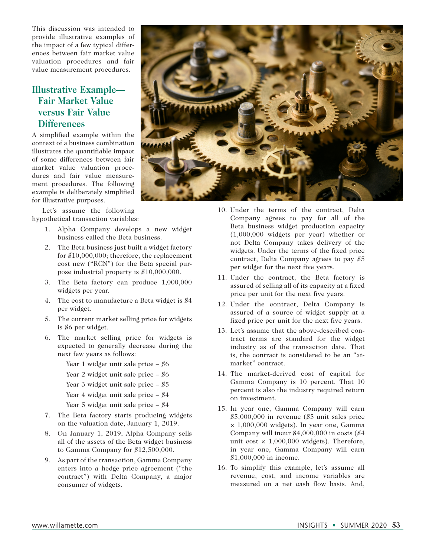This discussion was intended to provide illustrative examples of the impact of a few typical differences between fair market value valuation procedures and fair value measurement procedures.

#### **Illustrative Example— Fair Market Value versus Fair Value Differences**

A simplified example within the context of a business combination illustrates the quantifiable impact of some differences between fair market value valuation procedures and fair value measurement procedures. The following example is deliberately simplified for illustrative purposes.

Let's assume the following hypothetical transaction variables:

- 1. Alpha Company develops a new widget business called the Beta business.
- 2. The Beta business just built a widget factory for \$10,000,000; therefore, the replacement cost new ("RCN") for the Beta special purpose industrial property is \$10,000,000.
- 3. The Beta factory can produce 1,000,000 widgets per year.
- 4. The cost to manufacture a Beta widget is \$4 per widget.
- 5. The current market selling price for widgets is \$6 per widget.
- 6. The market selling price for widgets is expected to generally decrease during the next few years as follows:
	- Year 1 widget unit sale price \$6
	- Year 2 widget unit sale price \$6
	- Year 3 widget unit sale price \$5
	- Year 4 widget unit sale price  $-$  \$4
	- Year 5 widget unit sale price \$4
- 7. The Beta factory starts producing widgets on the valuation date, January 1, 2019.
- 8. On January 1, 2019, Alpha Company sells all of the assets of the Beta widget business to Gamma Company for \$12,500,000.
- 9. As part of the transaction, Gamma Company enters into a hedge price agreement ("the contract") with Delta Company, a major consumer of widgets.



- 10. Under the terms of the contract, Delta Company agrees to pay for all of the Beta business widget production capacity (1,000,000 widgets per year) whether or not Delta Company takes delivery of the widgets. Under the terms of the fixed price contract, Delta Company agrees to pay \$5 per widget for the next five years.
- 11. Under the contract, the Beta factory is assured of selling all of its capacity at a fixed price per unit for the next five years.
- 12. Under the contract, Delta Company is assured of a source of widget supply at a fixed price per unit for the next five years.
- 13. Let's assume that the above-described contract terms are standard for the widget industry as of the transaction date. That is, the contract is considered to be an "atmarket" contract.
- 14. The market-derived cost of capital for Gamma Company is 10 percent. That 10 percent is also the industry required return on investment.
- 15. In year one, Gamma Company will earn \$5,000,000 in revenue (\$5 unit sales price × 1,000,000 widgets). In year one, Gamma Company will incur \$4,000,000 in costs (\$4 unit cost  $\times$  1,000,000 widgets). Therefore, in year one, Gamma Company will earn \$1,000,000 in income.
- 16. To simplify this example, let's assume all revenue, cost, and income variables are measured on a net cash flow basis. And,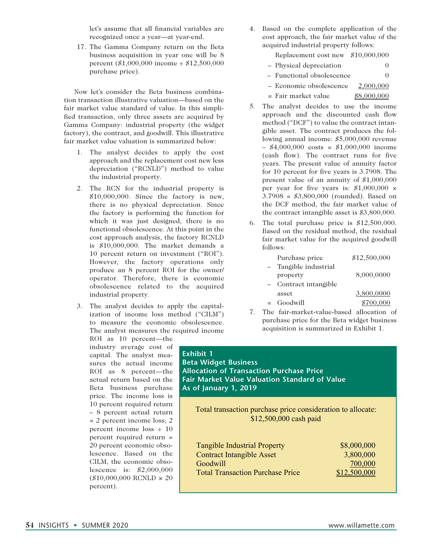let's assume that all financial variables are recognized once a year—at year-end.

17. The Gamma Company return on the Beta business acquisition in year one will be 8 percent  $(\$1,000,000$  income  $\div$  \$12,500,000 purchase price).

Now let's consider the Beta business combination transaction illustrative valuation—based on the fair market value standard of value. In this simplified transaction, only three assets are acquired by Gamma Company: industrial property (the widget factory), the contract, and goodwill. This illustrative fair market value valuation is summarized below:

- 1. The analyst decides to apply the cost approach and the replacement cost new less depreciation ("RCNLD") method to value the industrial property.
- 2. The RCN for the industrial property is \$10,000,000. Since the factory is new, there is no physical depreciation. Since the factory is performing the function for which it was just designed, there is no functional obsolescence. At this point in the cost approach analysis, the factory RCNLD is \$10,000,000. The market demands a 10 percent return on investment ("ROI"). However, the factory operations only produce an 8 percent ROI for the owner/ operator. Therefore, there is economic obsolescence related to the acquired industrial property.
- 3. The analyst decides to apply the capitalization of income loss method ("CILM") to measure the economic obsolescence. The analyst measures the required income

ROI as 10 percent—the industry average cost of capital. The analyst measures the actual income ROI as 8 percent—the actual return based on the Beta business purchase price. The income loss is 10 percent required return – 8 percent actual return = 2 percent income loss; 2 percent income loss ÷ 10 percent required return = 20 percent economic obsolescence. Based on the CILM, the economic obsolescence is: \$2,000,000  $($10,000,000$  RCNLD  $\times 20$ percent).

4. Based on the complete application of the cost approach, the fair market value of the acquired industrial property follows:

Replacement cost new \$10,000,000

| - Physical depreciation   | 0           |
|---------------------------|-------------|
| - Functional obsolescence | $\Omega$    |
| - Economic obsolescence   | 2,000,000   |
| $=$ Fair market value     | \$8,000,000 |

- 5. The analyst decides to use the income approach and the discounted cash flow method ("DCF") to value the contract intangible asset. The contract produces the following annual income: \$5,000,000 revenue  $-$  \$4,000,000 costs = \$1,000,000 income (cash flow). The contract runs for five years. The present value of annuity factor for 10 percent for five years is 3.7908. The present value of an annuity of \$1,000,000 per year for five years is:  $$1,000,000 \times$ 3.7908 = \$3,800,000 (rounded). Based on the DCF method, the fair market value of the contract intangible asset is \$3,800,000.
- 6. The total purchase price is \$12,500,000. Based on the residual method, the residual fair market value for the acquired goodwill follows:

| Purchase price      | \$12,500,000 |
|---------------------|--------------|
| Tangible industrial |              |
| property            | 8,000,0000   |
| Contract intangible |              |
| asset               | 3,800,0000   |
| Goodwill            | \$700,000    |

7. The fair-market-value-based allocation of purchase price for the Beta widget business acquisition is summarized in Exhibit 1.

#### **Exhibit 1 Beta Widget Business Allocation of Transaction Purchase Price Fair Market Value Valuation Standard of Value As of January 1, 2019**

Total transaction purchase price consideration to allocate: \$12,500,000 cash paid

Tangible Industrial Property \$8,000,000 Contract Intangible Asset 3,800,000 Goodwill 700,000 Total Transaction Purchase Price \$12,500,000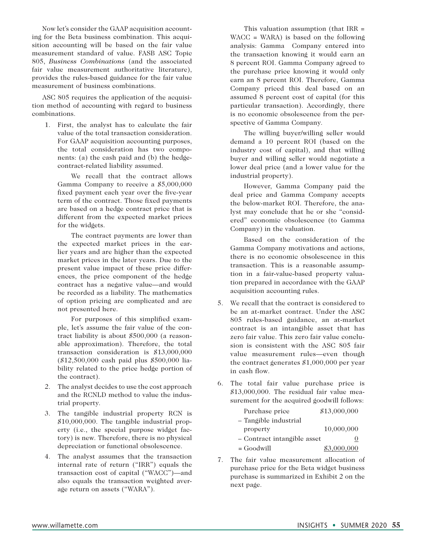Now let's consider the GAAP acquisition accounting for the Beta business combination. This acquisition accounting will be based on the fair value measurement standard of value. FASB ASC Topic 805, *Business Combinations* (and the associated fair value measurement authoritative literature), provides the rules-based guidance for the fair value measurement of business combinations.

ASC 805 requires the application of the acquisition method of accounting with regard to business combinations.

1. First, the analyst has to calculate the fair value of the total transaction consideration. For GAAP acquisition accounting purposes, the total consideration has two components: (a) the cash paid and (b) the hedgecontract-related liability assumed.

 We recall that the contract allows Gamma Company to receive a \$5,000,000 fixed payment each year over the five-year term of the contract. Those fixed payments are based on a hedge contract price that is different from the expected market prices for the widgets.

 The contract payments are lower than the expected market prices in the earlier years and are higher than the expected market prices in the later years. Due to the present value impact of these price differences, the price component of the hedge contract has a negative value—and would be recorded as a liability. The mathematics of option pricing are complicated and are not presented here.

 For purposes of this simplified example, let's assume the fair value of the contract liability is about \$500,000 (a reasonable approximation). Therefore, the total transaction consideration is \$13,000,000 (\$12,500,000 cash paid plus \$500,000 liability related to the price hedge portion of the contract).

- 2. The analyst decides to use the cost approach and the RCNLD method to value the industrial property.
- 3. The tangible industrial property RCN is \$10,000,000. The tangible industrial property (i.e., the special purpose widget factory) is new. Therefore, there is no physical depreciation or functional obsolescence.
- 4. The analyst assumes that the transaction internal rate of return ("IRR") equals the transaction cost of capital ("WACC")—and also equals the transaction weighted average return on assets ("WARA").

 This valuation assumption (that IRR = WACC = WARA) is based on the following analysis: Gamma Company entered into the transaction knowing it would earn an 8 percent ROI. Gamma Company agreed to the purchase price knowing it would only earn an 8 percent ROI. Therefore, Gamma Company priced this deal based on an assumed 8 percent cost of capital (for this particular transaction). Accordingly, there is no economic obsolescence from the perspective of Gamma Company.

 The willing buyer/willing seller would demand a 10 percent ROI (based on the industry cost of capital), and that willing buyer and willing seller would negotiate a lower deal price (and a lower value for the industrial property).

 However, Gamma Company paid the deal price and Gamma Company accepts the below-market ROI. Therefore, the analyst may conclude that he or she "considered" economic obsolescence (to Gamma Company) in the valuation.

 Based on the consideration of the Gamma Company motivations and actions, there is no economic obsolescence in this transaction. This is a reasonable assumption in a fair-value-based property valuation prepared in accordance with the GAAP acquisition accounting rules.

- 5. We recall that the contract is considered to be an at-market contract. Under the ASC 805 rules-based guidance, an at-market contract is an intangible asset that has zero fair value. This zero fair value conclusion is consistent with the ASC 805 fair value measurement rules—even though the contract generates \$1,000,000 per year in cash flow.
- 6. The total fair value purchase price is \$13,000,000. The residual fair value measurement for the acquired goodwill follows:

| Purchase price              | \$13,000,000 |
|-----------------------------|--------------|
| - Tangible industrial       |              |
| property                    | 10,000,000   |
| - Contract intangible asset | O            |
| $=$ Goodwill                | \$3,000,000  |

7. The fair value measurement allocation of purchase price for the Beta widget business purchase is summarized in Exhibit 2 on the next page.